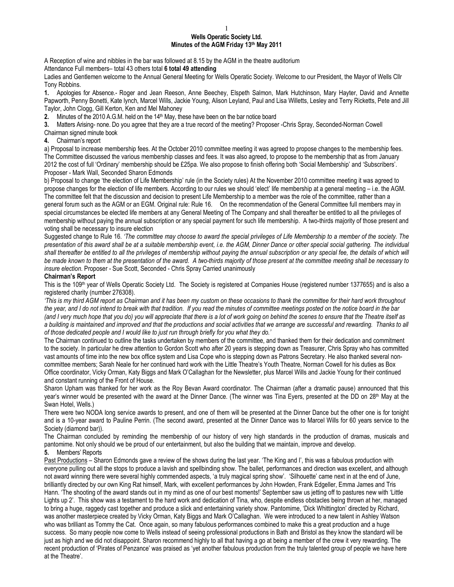## 1 **Wells Operatic Society Ltd. Minutes of the AGM Friday 13th May 2011**

A Reception of wine and nibbles in the bar was followed at 8.15 by the AGM in the theatre auditorium Attendance Full members– total 43 others total **6 total 49 attending**

Ladies and Gentlemen welcome to the Annual General Meeting for Wells Operatic Society. Welcome to our President, the Mayor of Wells Cllr Tony Robbins.

**1.** Apologies for Absence.- Roger and Jean Reeson, Anne Beechey, Elspeth Salmon, Mark Hutchinson, Mary Hayter, David and Annette Papworth, Penny Bonetti, Kate lynch, Marcel Wills, Jackie Young, Alison Leyland, Paul and Lisa Willetts, Lesley and Terry Ricketts, Pete and Jill Taylor, John Clogg, Gill Kerton, Ken and Mel Mahoney

**2.** Minutes of the 2010 A.G.M. held on the 14<sup>th</sup> May, these have been on the bar notice board

**3.** Matters Arising- none. Do you agree that they are a true record of the meeting? Proposer -Chris Spray, Seconded-Norman Cowell Chairman signed minute book

**4.** Chairman's report

a) Proposal to increase membership fees. At the October 2010 committee meeting it was agreed to propose changes to the membership fees. The Committee discussed the various membership classes and fees. It was also agreed, to propose to the membership that as from January 2012 the cost of full 'Ordinary' membership should be £25pa. We also propose to finish offering both 'Social Membership' and 'Subscribers'. Proposer - Mark Wall, Seconded Sharon Edmonds

b) Proposal to change 'the election of Life Membership' rule (in the Society rules) At the November 2010 committee meeting it was agreed to propose changes for the election of life members. According to our rules we should 'elect' life membership at a general meeting – i.e. the AGM. The committee felt that the discussion and decision to present Life Membership to a member was the role of the committee, rather than a general forum such as the AGM or an EGM. Original rule: Rule 16. On the recommendation of the General Committee full members may in special circumstances be elected life members at any General Meeting of The Company and shall thereafter be entitled to all the privileges of membership without paying the annual subscription or any special payment for such life membership. A two-thirds majority of those present and voting shall be necessary to insure election

Suggested change to Rule 16. *'The committee may choose to award the special privileges of Life Membership to a member of the society. The presentation of this award shall be at a suitable membership event, i.e. the AGM, Dinner Dance or other special social gathering. The individual*  shall thereafter be entitled to all the privileges of membership without paying the annual subscription or any special fee, the details of which will *be made known to them at the presentation of the award. A two-thirds majority of those present at the committee meeting shall be necessary to insure election.* Proposer - Sue Scott, Seconded - Chris Spray Carried unanimously

## **Chairman's Report**

This is the 109<sup>th</sup> year of Wells Operatic Society Ltd. The Society is registered at Companies House (registered number 1377655) and is also a registered charity (number 276308).

*'This is my third AGM report as Chairman and it has been my custom on these occasions to thank the committee for their hard work throughout the year, and I do not intend to break with that tradition. If you read the minutes of committee meetings posted on the notice board in the bar (and I very much hope that you do) you will appreciate that there is a lot of work going on behind the scenes to ensure that the Theatre itself as*  a building is maintained and improved and that the productions and social activities that we arrange are successful and rewarding. Thanks to all *of those dedicated people and I would like to just run through briefly for you what they do.'* 

The Chairman continued to outline the tasks undertaken by members of the committee, and thanked them for their dedication and commitment to the society. In particular he drew attention to Gordon Scott who after 20 years is stepping down as Treasurer, Chris Spray who has committed vast amounts of time into the new box office system and Lisa Cope who is stepping down as Patrons Secretary. He also thanked several noncommittee members; Sarah Neale for her continued hard work with the Little Theatre's Youth Theatre, Norman Cowell for his duties as Box Office coordinator, Vicky Orman, Katy Biggs and Mark O'Callaghan for the Newsletter, plus Marcel Wills and Jackie Young for their continued and constant running of the Front of House.

Sharon Upham was thanked for her work as the Roy Bevan Award coordinator. The Chairman (after a dramatic pause) announced that this year's winner would be presented with the award at the Dinner Dance. (The winner was Tina Eyers, presented at the DD on 28<sup>th</sup> May at the Swan Hotel, Wells.)

There were two NODA long service awards to present, and one of them will be presented at the Dinner Dance but the other one is for tonight and is a 10-year award to Pauline Perrin. (The second award, presented at the Dinner Dance was to Marcel Wills for 60 years service to the Society (diamond bar)).

The Chairman concluded by reminding the membership of our history of very high standards in the production of dramas, musicals and pantomime. Not only should we be proud of our entertainment, but also the building that we maintain, improve and develop.

## **5.** Members' Reports

Past Productions - Sharon Edmonds gave a review of the shows during the last year. 'The King and I', this was a fabulous production with everyone pulling out all the stops to produce a lavish and spellbinding show. The ballet, performances and direction was excellent, and although not award winning there were several highly commended aspects, 'a truly magical spring show'. 'Silhouette' came next in at the end of June, brilliantly directed by our own King Rat himself, Mark, with excellent performances by John Howden, Frank Edgeller, Emma James and Tris Hann. 'The shooting of the award stands out in my mind as one of our best moments!' September saw us jetting off to pastures new with 'Little Lights up 2'. This show was a testament to the hard work and dedication of Tina, who, despite endless obstacles being thrown at her, managed to bring a huge, raggedy cast together and produce a slick and entertaining variety show. Pantomime, 'Dick Whittington' directed by Richard, was another masterpiece created by Vicky Orman, Katy Biggs and Mark O'Callaghan. We were introduced to a new talent in Ashley Watson who was brilliant as Tommy the Cat. Once again, so many fabulous performances combined to make this a great production and a huge success. So many people now come to Wells instead of seeing professional productions in Bath and Bristol as they know the standard will be just as high and we did not disappoint. Sharon recommend highly to all that having a go at being a member of the crew it very rewarding. The recent production of 'Pirates of Penzance' was praised as 'yet another fabulous production from the truly talented group of people we have here at the Theatre'.